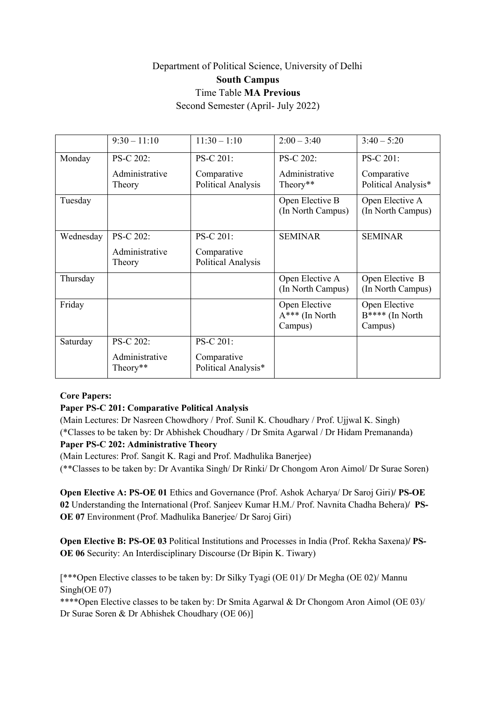# Department of Political Science, University of Delhi **South Campus** Time Table **MA Previous**

Second Semester (April- July 2022)

|           | $9:30 - 11:10$             | $11:30 - 1:10$                     | $2:00 - 3:40$                                | $3:40 - 5:20$                               |
|-----------|----------------------------|------------------------------------|----------------------------------------------|---------------------------------------------|
| Monday    | PS-C 202:                  | <b>PS-C 201:</b>                   | PS-C 202:                                    | PS-C 201:                                   |
|           | Administrative<br>Theory   | Comparative<br>Political Analysis  | Administrative<br>Theory**                   | Comparative<br>Political Analysis*          |
| Tuesday   |                            |                                    | Open Elective B<br>(In North Campus)         | Open Elective A<br>(In North Campus)        |
| Wednesday | PS-C 202:                  | PS-C 201:                          | <b>SEMINAR</b>                               | <b>SEMINAR</b>                              |
|           | Administrative<br>Theory   | Comparative<br>Political Analysis  |                                              |                                             |
| Thursday  |                            |                                    | Open Elective A<br>(In North Campus)         | Open Elective B<br>(In North Campus)        |
| Friday    |                            |                                    | Open Elective<br>$A***$ (In North<br>Campus) | Open Elective<br>B**** (In North<br>Campus) |
| Saturday  | PS-C 202:                  | PS-C 201:                          |                                              |                                             |
|           | Administrative<br>Theory** | Comparative<br>Political Analysis* |                                              |                                             |

# **Core Papers:**

# **Paper PS-C 201: Comparative Political Analysis**

(Main Lectures: Dr Nasreen Chowdhory / Prof. Sunil K. Choudhary / Prof. Ujjwal K. Singh) (\*Classes to be taken by: Dr Abhishek Choudhary / Dr Smita Agarwal / Dr Hidam Premananda)

# **Paper PS-C 202: Administrative Theory**

(Main Lectures: Prof. Sangit K. Ragi and Prof. Madhulika Banerjee) (\*\*Classes to be taken by: Dr Avantika Singh/ Dr Rinki/ Dr Chongom Aron Aimol/ Dr Surae Soren)

**Open Elective A: PS-OE 01** Ethics and Governance (Prof. Ashok Acharya/ Dr Saroj Giri)**/ PS-OE 02** Understanding the International (Prof. Sanjeev Kumar H.M./ Prof. Navnita Chadha Behera)**/ PS-OE 07** Environment (Prof. Madhulika Banerjee/ Dr Saroj Giri)

**Open Elective B: PS-OE 03** Political Institutions and Processes in India (Prof. Rekha Saxena)**/ PS-OE 06** Security: An Interdisciplinary Discourse (Dr Bipin K. Tiwary)

[\*\*\*Open Elective classes to be taken by: Dr Silky Tyagi (OE 01)/ Dr Megha (OE 02)/ Mannu Singh(OE 07)

\*\*\*\*Open Elective classes to be taken by: Dr Smita Agarwal & Dr Chongom Aron Aimol (OE 03)/ Dr Surae Soren & Dr Abhishek Choudhary (OE 06)]